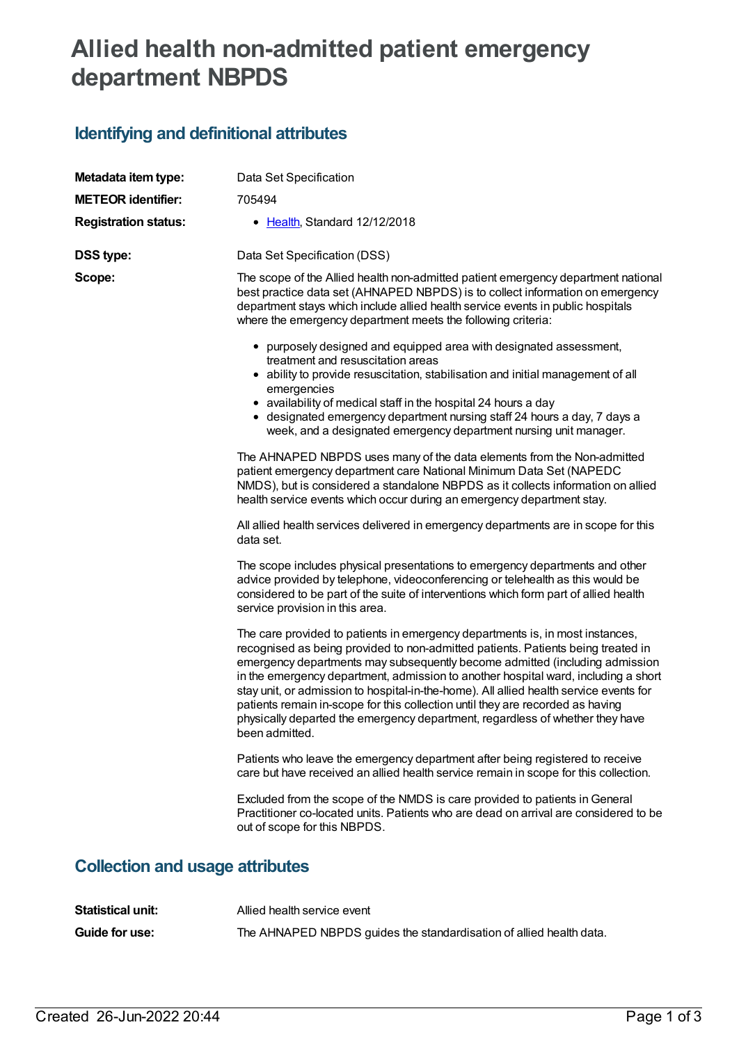## **Allied health non-admitted patient emergency department NBPDS**

## **Identifying and definitional attributes**

| Metadata item type:                    | Data Set Specification                                                                                                                                                                                                                                                                                                                                                                                                                                                                                                                                                                                                |  |  |  |
|----------------------------------------|-----------------------------------------------------------------------------------------------------------------------------------------------------------------------------------------------------------------------------------------------------------------------------------------------------------------------------------------------------------------------------------------------------------------------------------------------------------------------------------------------------------------------------------------------------------------------------------------------------------------------|--|--|--|
| <b>METEOR identifier:</b>              | 705494                                                                                                                                                                                                                                                                                                                                                                                                                                                                                                                                                                                                                |  |  |  |
| <b>Registration status:</b>            | • Health, Standard 12/12/2018                                                                                                                                                                                                                                                                                                                                                                                                                                                                                                                                                                                         |  |  |  |
| <b>DSS type:</b>                       | Data Set Specification (DSS)                                                                                                                                                                                                                                                                                                                                                                                                                                                                                                                                                                                          |  |  |  |
| Scope:                                 | The scope of the Allied health non-admitted patient emergency department national<br>best practice data set (AHNAPED NBPDS) is to collect information on emergency<br>department stays which include allied health service events in public hospitals<br>where the emergency department meets the following criteria:                                                                                                                                                                                                                                                                                                 |  |  |  |
|                                        | • purposely designed and equipped area with designated assessment,<br>treatment and resuscitation areas<br>• ability to provide resuscitation, stabilisation and initial management of all<br>emergencies<br>• availability of medical staff in the hospital 24 hours a day<br>• designated emergency department nursing staff 24 hours a day, 7 days a<br>week, and a designated emergency department nursing unit manager.                                                                                                                                                                                          |  |  |  |
|                                        | The AHNAPED NBPDS uses many of the data elements from the Non-admitted<br>patient emergency department care National Minimum Data Set (NAPEDC<br>NMDS), but is considered a standalone NBPDS as it collects information on allied<br>health service events which occur during an emergency department stay.                                                                                                                                                                                                                                                                                                           |  |  |  |
|                                        | All allied health services delivered in emergency departments are in scope for this<br>data set.                                                                                                                                                                                                                                                                                                                                                                                                                                                                                                                      |  |  |  |
|                                        | The scope includes physical presentations to emergency departments and other<br>advice provided by telephone, videoconferencing or telehealth as this would be<br>considered to be part of the suite of interventions which form part of allied health<br>service provision in this area.                                                                                                                                                                                                                                                                                                                             |  |  |  |
|                                        | The care provided to patients in emergency departments is, in most instances,<br>recognised as being provided to non-admitted patients. Patients being treated in<br>emergency departments may subsequently become admitted (including admission<br>in the emergency department, admission to another hospital ward, including a short<br>stay unit, or admission to hospital-in-the-home). All allied health service events for<br>patients remain in-scope for this collection until they are recorded as having<br>physically departed the emergency department, regardless of whether they have<br>been admitted. |  |  |  |
|                                        | Patients who leave the emergency department after being registered to receive<br>care but have received an allied health service remain in scope for this collection.                                                                                                                                                                                                                                                                                                                                                                                                                                                 |  |  |  |
|                                        | Excluded from the scope of the NMDS is care provided to patients in General<br>Practitioner co-located units. Patients who are dead on arrival are considered to be<br>out of scope for this NBPDS.                                                                                                                                                                                                                                                                                                                                                                                                                   |  |  |  |
| <b>Collection and usage attributes</b> |                                                                                                                                                                                                                                                                                                                                                                                                                                                                                                                                                                                                                       |  |  |  |

| <b>Statistical unit:</b> | Allied health service event                                         |
|--------------------------|---------------------------------------------------------------------|
| <b>Guide for use:</b>    | The AHNAPED NBPDS guides the standardisation of allied health data. |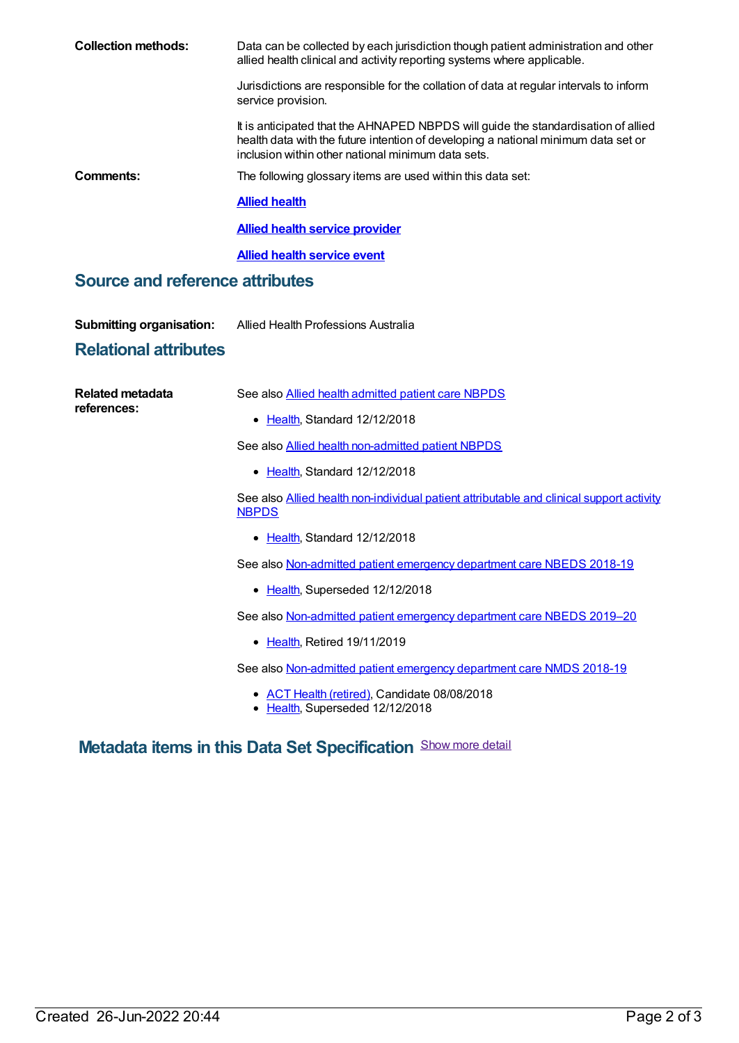| <b>Collection methods:</b>             | Data can be collected by each jurisdiction though patient administration and other<br>allied health clinical and activity reporting systems where applicable.                                                                 |  |  |
|----------------------------------------|-------------------------------------------------------------------------------------------------------------------------------------------------------------------------------------------------------------------------------|--|--|
|                                        | Jurisdictions are responsible for the collation of data at regular intervals to inform<br>service provision.                                                                                                                  |  |  |
|                                        | It is anticipated that the AHNAPED NBPDS will guide the standardisation of allied<br>health data with the future intention of developing a national minimum data set or<br>inclusion within other national minimum data sets. |  |  |
| Comments:                              | The following glossary items are used within this data set:                                                                                                                                                                   |  |  |
|                                        | <b>Allied health</b>                                                                                                                                                                                                          |  |  |
|                                        | <b>Allied health service provider</b>                                                                                                                                                                                         |  |  |
|                                        | <b>Allied health service event</b>                                                                                                                                                                                            |  |  |
| <b>Source and reference attributes</b> |                                                                                                                                                                                                                               |  |  |
| <b>Submitting organisation:</b>        | Allied Health Professions Australia                                                                                                                                                                                           |  |  |
| <b>Relational attributes</b>           |                                                                                                                                                                                                                               |  |  |

| Related metadata<br>references: | See also <b>Allied health admitted patient care NBPDS</b>                                                |
|---------------------------------|----------------------------------------------------------------------------------------------------------|
|                                 | • Health, Standard 12/12/2018                                                                            |
|                                 | See also Allied health non-admitted patient NBPDS                                                        |
|                                 | • Health, Standard 12/12/2018                                                                            |
|                                 | See also Allied health non-individual patient attributable and clinical support activity<br><b>NBPDS</b> |
|                                 | • Health, Standard 12/12/2018                                                                            |
|                                 | See also Non-admitted patient emergency department care NBEDS 2018-19                                    |
|                                 | • Health, Superseded 12/12/2018                                                                          |
|                                 | See also Non-admitted patient emergency department care NBEDS 2019-20                                    |
|                                 | • Health, Retired 19/11/2019                                                                             |
|                                 | See also Non-admitted patient emergency department care NMDS 2018-19                                     |
|                                 | • ACT Health (retired), Candidate 08/08/2018                                                             |

[Health](https://meteor.aihw.gov.au/RegistrationAuthority/12), Superseded 12/12/2018

## **Metadata items in this Data Set Specification** Show more detail